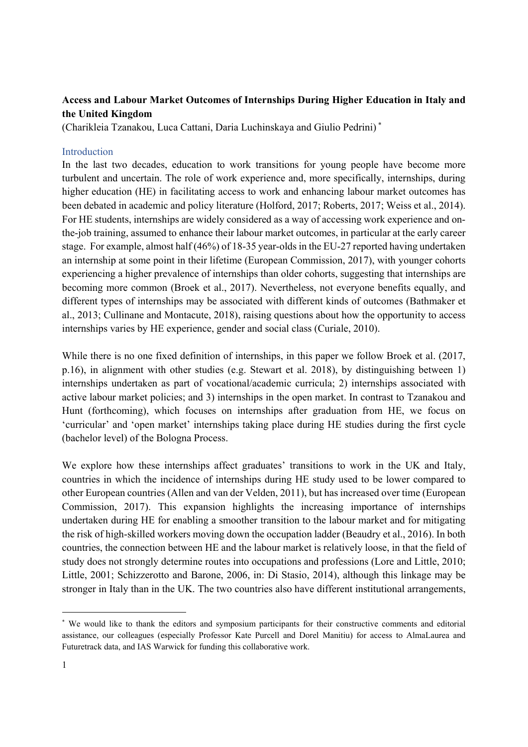# **Access and Labour Market Outcomes of Internships During Higher Education in Italy and the United Kingdom**

(Charikleia Tzanakou, Luca Cattani, Daria Luchinskaya and Giulio Pedrini) \*

#### Introduction

In the last two decades, education to work transitions for young people have become more turbulent and uncertain. The role of work experience and, more specifically, internships, during higher education (HE) in facilitating access to work and enhancing labour market outcomes has been debated in academic and policy literature (Holford, 2017; Roberts, 2017; Weiss et al., 2014). For HE students, internships are widely considered as a way of accessing work experience and onthe-job training, assumed to enhance their labour market outcomes, in particular at the early career stage. For example, almost half (46%) of 18-35 year-olds in the EU-27 reported having undertaken an internship at some point in their lifetime (European Commission, 2017), with younger cohorts experiencing a higher prevalence of internships than older cohorts, suggesting that internships are becoming more common (Broek et al., 2017). Nevertheless, not everyone benefits equally, and different types of internships may be associated with different kinds of outcomes (Bathmaker et al., 2013; Cullinane and Montacute, 2018), raising questions about how the opportunity to access internships varies by HE experience, gender and social class (Curiale, 2010).

While there is no one fixed definition of internships, in this paper we follow Broek et al. (2017, p.16), in alignment with other studies (e.g. Stewart et al. 2018), by distinguishing between 1) internships undertaken as part of vocational/academic curricula; 2) internships associated with active labour market policies; and 3) internships in the open market. In contrast to Tzanakou and Hunt (forthcoming), which focuses on internships after graduation from HE, we focus on 'curricular' and 'open market' internships taking place during HE studies during the first cycle (bachelor level) of the Bologna Process.

We explore how these internships affect graduates' transitions to work in the UK and Italy, countries in which the incidence of internships during HE study used to be lower compared to other European countries (Allen and van der Velden, 2011), but has increased over time (European Commission, 2017). This expansion highlights the increasing importance of internships undertaken during HE for enabling a smoother transition to the labour market and for mitigating the risk of high-skilled workers moving down the occupation ladder (Beaudry et al., 2016). In both countries, the connection between HE and the labour market is relatively loose, in that the field of study does not strongly determine routes into occupations and professions (Lore and Little, 2010; Little, 2001; Schizzerotto and Barone, 2006, in: Di Stasio, 2014), although this linkage may be stronger in Italy than in the UK. The two countries also have different institutional arrangements,

-

<sup>\*</sup> We would like to thank the editors and symposium participants for their constructive comments and editorial assistance, our colleagues (especially Professor Kate Purcell and Dorel Manitiu) for access to AlmaLaurea and Futuretrack data, and IAS Warwick for funding this collaborative work.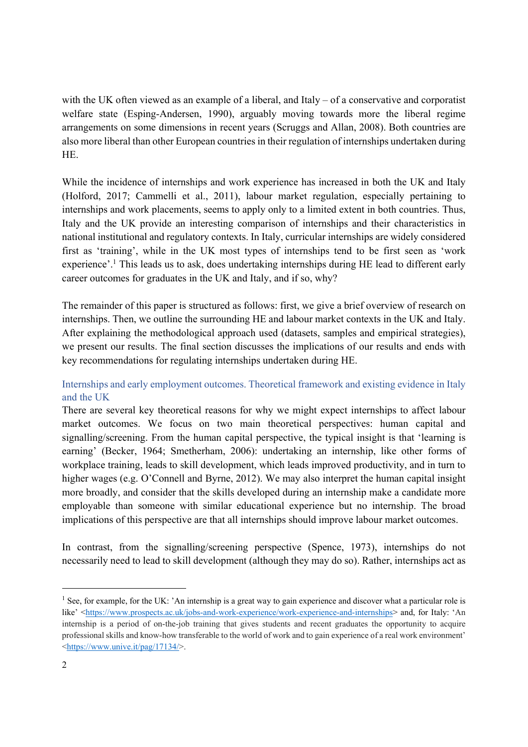with the UK often viewed as an example of a liberal, and Italy – of a conservative and corporatist welfare state (Esping-Andersen, 1990), arguably moving towards more the liberal regime arrangements on some dimensions in recent years (Scruggs and Allan, 2008). Both countries are also more liberal than other European countries in their regulation of internships undertaken during HE.

While the incidence of internships and work experience has increased in both the UK and Italy (Holford, 2017; Cammelli et al., 2011), labour market regulation, especially pertaining to internships and work placements, seems to apply only to a limited extent in both countries. Thus, Italy and the UK provide an interesting comparison of internships and their characteristics in national institutional and regulatory contexts. In Italy, curricular internships are widely considered first as 'training', while in the UK most types of internships tend to be first seen as 'work experience'.<sup>1</sup> This leads us to ask, does undertaking internships during HE lead to different early career outcomes for graduates in the UK and Italy, and if so, why?

The remainder of this paper is structured as follows: first, we give a brief overview of research on internships. Then, we outline the surrounding HE and labour market contexts in the UK and Italy. After explaining the methodological approach used (datasets, samples and empirical strategies), we present our results. The final section discusses the implications of our results and ends with key recommendations for regulating internships undertaken during HE.

# Internships and early employment outcomes. Theoretical framework and existing evidence in Italy and the UK

There are several key theoretical reasons for why we might expect internships to affect labour market outcomes. We focus on two main theoretical perspectives: human capital and signalling/screening. From the human capital perspective, the typical insight is that 'learning is earning' (Becker, 1964; Smetherham, 2006): undertaking an internship, like other forms of workplace training, leads to skill development, which leads improved productivity, and in turn to higher wages (e.g. O'Connell and Byrne, 2012). We may also interpret the human capital insight more broadly, and consider that the skills developed during an internship make a candidate more employable than someone with similar educational experience but no internship. The broad implications of this perspective are that all internships should improve labour market outcomes.

In contrast, from the signalling/screening perspective (Spence, 1973), internships do not necessarily need to lead to skill development (although they may do so). Rather, internships act as

1

<sup>&</sup>lt;sup>1</sup> See, for example, for the UK: 'An internship is a great way to gain experience and discover what a particular role is like' <https://www.prospects.ac.uk/jobs-and-work-experience/work-experience-and-internships> and, for Italy: 'An internship is a period of on-the-job training that gives students and recent graduates the opportunity to acquire professional skills and know-how transferable to the world of work and to gain experience of a real work environment' <https://www.unive.it/pag/17134/>.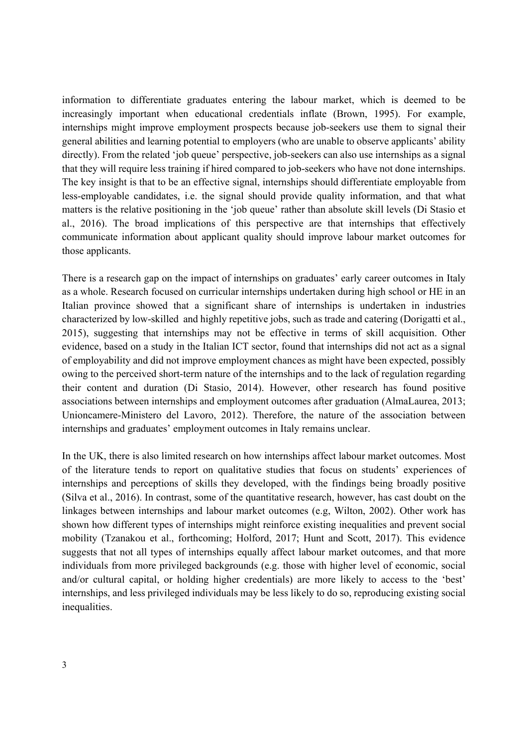information to differentiate graduates entering the labour market, which is deemed to be increasingly important when educational credentials inflate (Brown, 1995). For example, internships might improve employment prospects because job-seekers use them to signal their general abilities and learning potential to employers (who are unable to observe applicants' ability directly). From the related 'job queue' perspective, job-seekers can also use internships as a signal that they will require less training if hired compared to job-seekers who have not done internships. The key insight is that to be an effective signal, internships should differentiate employable from less-employable candidates, i.e. the signal should provide quality information, and that what matters is the relative positioning in the 'job queue' rather than absolute skill levels (Di Stasio et al., 2016). The broad implications of this perspective are that internships that effectively communicate information about applicant quality should improve labour market outcomes for those applicants.

There is a research gap on the impact of internships on graduates' early career outcomes in Italy as a whole. Research focused on curricular internships undertaken during high school or HE in an Italian province showed that a significant share of internships is undertaken in industries characterized by low-skilled and highly repetitive jobs, such as trade and catering (Dorigatti et al., 2015), suggesting that internships may not be effective in terms of skill acquisition. Other evidence, based on a study in the Italian ICT sector, found that internships did not act as a signal of employability and did not improve employment chances as might have been expected, possibly owing to the perceived short-term nature of the internships and to the lack of regulation regarding their content and duration (Di Stasio, 2014). However, other research has found positive associations between internships and employment outcomes after graduation (AlmaLaurea, 2013; Unioncamere-Ministero del Lavoro, 2012). Therefore, the nature of the association between internships and graduates' employment outcomes in Italy remains unclear.

In the UK, there is also limited research on how internships affect labour market outcomes. Most of the literature tends to report on qualitative studies that focus on students' experiences of internships and perceptions of skills they developed, with the findings being broadly positive (Silva et al., 2016). In contrast, some of the quantitative research, however, has cast doubt on the linkages between internships and labour market outcomes (e.g, Wilton, 2002). Other work has shown how different types of internships might reinforce existing inequalities and prevent social mobility (Tzanakou et al., forthcoming; Holford, 2017; Hunt and Scott, 2017). This evidence suggests that not all types of internships equally affect labour market outcomes, and that more individuals from more privileged backgrounds (e.g. those with higher level of economic, social and/or cultural capital, or holding higher credentials) are more likely to access to the 'best' internships, and less privileged individuals may be less likely to do so, reproducing existing social inequalities.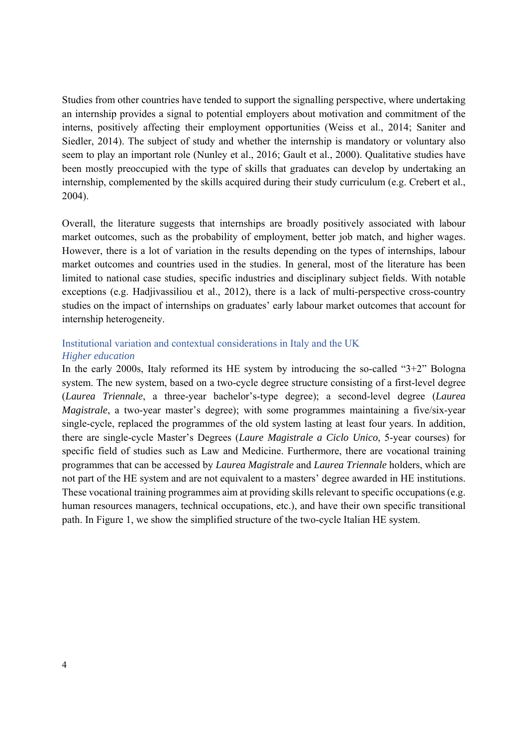Studies from other countries have tended to support the signalling perspective, where undertaking an internship provides a signal to potential employers about motivation and commitment of the interns, positively affecting their employment opportunities (Weiss et al., 2014; Saniter and Siedler, 2014). The subject of study and whether the internship is mandatory or voluntary also seem to play an important role (Nunley et al., 2016; Gault et al., 2000). Qualitative studies have been mostly preoccupied with the type of skills that graduates can develop by undertaking an internship, complemented by the skills acquired during their study curriculum (e.g. Crebert et al., 2004).

Overall, the literature suggests that internships are broadly positively associated with labour market outcomes, such as the probability of employment, better job match, and higher wages. However, there is a lot of variation in the results depending on the types of internships, labour market outcomes and countries used in the studies. In general, most of the literature has been limited to national case studies, specific industries and disciplinary subject fields. With notable exceptions (e.g. Hadjivassiliou et al., 2012), there is a lack of multi-perspective cross-country studies on the impact of internships on graduates' early labour market outcomes that account for internship heterogeneity.

## Institutional variation and contextual considerations in Italy and the UK *Higher education*

In the early 2000s, Italy reformed its HE system by introducing the so-called "3+2" Bologna system. The new system, based on a two-cycle degree structure consisting of a first-level degree (*Laurea Triennale*, a three-year bachelor's-type degree); a second-level degree (*Laurea Magistrale*, a two-year master's degree); with some programmes maintaining a five/six-year single-cycle, replaced the programmes of the old system lasting at least four years. In addition, there are single-cycle Master's Degrees (*Laure Magistrale a Ciclo Unico*, 5-year courses) for specific field of studies such as Law and Medicine. Furthermore, there are vocational training programmes that can be accessed by *Laurea Magistrale* and *Laurea Triennale* holders, which are not part of the HE system and are not equivalent to a masters' degree awarded in HE institutions. These vocational training programmes aim at providing skills relevant to specific occupations (e.g. human resources managers, technical occupations, etc.), and have their own specific transitional path. In Figure 1, we show the simplified structure of the two-cycle Italian HE system.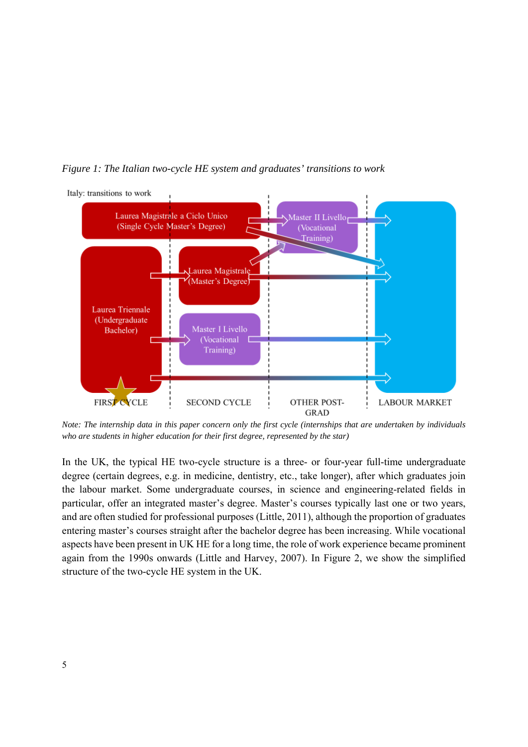



*Note: The internship data in this paper concern only the first cycle (internships that are undertaken by individuals who are students in higher education for their first degree, represented by the star)* 

In the UK, the typical HE two-cycle structure is a three- or four-year full-time undergraduate degree (certain degrees, e.g. in medicine, dentistry, etc., take longer), after which graduates join the labour market. Some undergraduate courses, in science and engineering-related fields in particular, offer an integrated master's degree. Master's courses typically last one or two years, and are often studied for professional purposes (Little, 2011), although the proportion of graduates entering master's courses straight after the bachelor degree has been increasing. While vocational aspects have been present in UK HE for a long time, the role of work experience became prominent again from the 1990s onwards (Little and Harvey, 2007). In Figure 2, we show the simplified structure of the two-cycle HE system in the UK.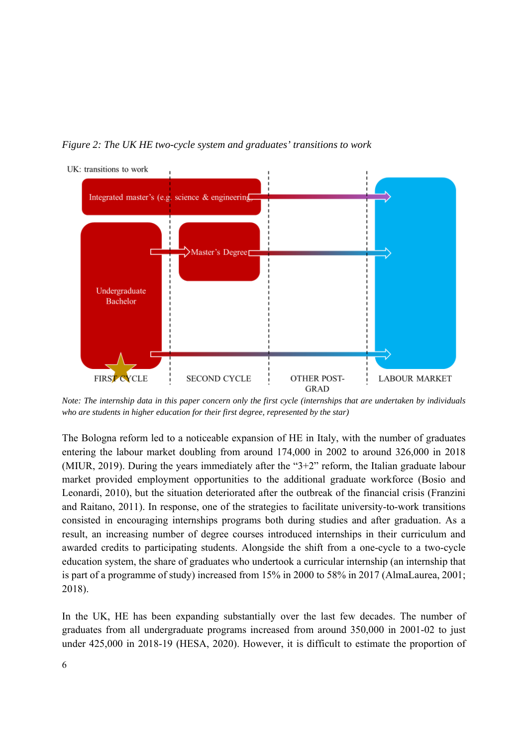*Figure 2: The UK HE two-cycle system and graduates' transitions to work* 



*Note: The internship data in this paper concern only the first cycle (internships that are undertaken by individuals who are students in higher education for their first degree, represented by the star)* 

The Bologna reform led to a noticeable expansion of HE in Italy, with the number of graduates entering the labour market doubling from around 174,000 in 2002 to around 326,000 in 2018 (MIUR, 2019). During the years immediately after the "3+2" reform, the Italian graduate labour market provided employment opportunities to the additional graduate workforce (Bosio and Leonardi, 2010), but the situation deteriorated after the outbreak of the financial crisis (Franzini and Raitano, 2011). In response, one of the strategies to facilitate university-to-work transitions consisted in encouraging internships programs both during studies and after graduation. As a result, an increasing number of degree courses introduced internships in their curriculum and awarded credits to participating students. Alongside the shift from a one-cycle to a two-cycle education system, the share of graduates who undertook a curricular internship (an internship that is part of a programme of study) increased from 15% in 2000 to 58% in 2017 (AlmaLaurea, 2001; 2018).

In the UK, HE has been expanding substantially over the last few decades. The number of graduates from all undergraduate programs increased from around 350,000 in 2001-02 to just under 425,000 in 2018-19 (HESA, 2020). However, it is difficult to estimate the proportion of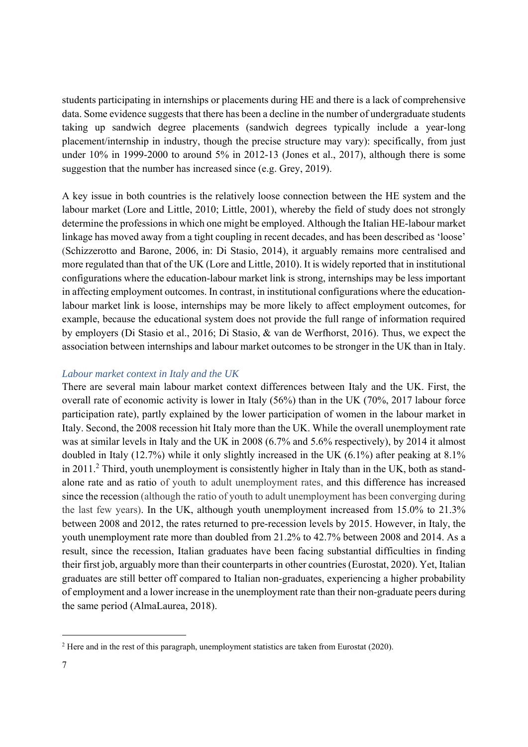students participating in internships or placements during HE and there is a lack of comprehensive data. Some evidence suggests that there has been a decline in the number of undergraduate students taking up sandwich degree placements (sandwich degrees typically include a year-long placement/internship in industry, though the precise structure may vary): specifically, from just under 10% in 1999-2000 to around 5% in 2012-13 (Jones et al., 2017), although there is some suggestion that the number has increased since (e.g. Grey, 2019).

A key issue in both countries is the relatively loose connection between the HE system and the labour market (Lore and Little, 2010; Little, 2001), whereby the field of study does not strongly determine the professions in which one might be employed. Although the Italian HE-labour market linkage has moved away from a tight coupling in recent decades, and has been described as 'loose' (Schizzerotto and Barone, 2006, in: Di Stasio, 2014), it arguably remains more centralised and more regulated than that of the UK (Lore and Little, 2010). It is widely reported that in institutional configurations where the education-labour market link is strong, internships may be less important in affecting employment outcomes. In contrast, in institutional configurations where the educationlabour market link is loose, internships may be more likely to affect employment outcomes, for example, because the educational system does not provide the full range of information required by employers (Di Stasio et al., 2016; Di Stasio, & van de Werfhorst, 2016). Thus, we expect the association between internships and labour market outcomes to be stronger in the UK than in Italy.

## *Labour market context in Italy and the UK*

There are several main labour market context differences between Italy and the UK. First, the overall rate of economic activity is lower in Italy (56%) than in the UK (70%, 2017 labour force participation rate), partly explained by the lower participation of women in the labour market in Italy. Second, the 2008 recession hit Italy more than the UK. While the overall unemployment rate was at similar levels in Italy and the UK in 2008 (6.7% and 5.6% respectively), by 2014 it almost doubled in Italy (12.7%) while it only slightly increased in the UK (6.1%) after peaking at 8.1% in 2011.<sup>2</sup> Third, youth unemployment is consistently higher in Italy than in the UK, both as standalone rate and as ratio of youth to adult unemployment rates, and this difference has increased since the recession (although the ratio of youth to adult unemployment has been converging during the last few years). In the UK, although youth unemployment increased from 15.0% to 21.3% between 2008 and 2012, the rates returned to pre-recession levels by 2015. However, in Italy, the youth unemployment rate more than doubled from 21.2% to 42.7% between 2008 and 2014. As a result, since the recession, Italian graduates have been facing substantial difficulties in finding their first job, arguably more than their counterparts in other countries (Eurostat, 2020). Yet, Italian graduates are still better off compared to Italian non-graduates, experiencing a higher probability of employment and a lower increase in the unemployment rate than their non-graduate peers during the same period (AlmaLaurea, 2018).

-

 $2$  Here and in the rest of this paragraph, unemployment statistics are taken from Eurostat (2020).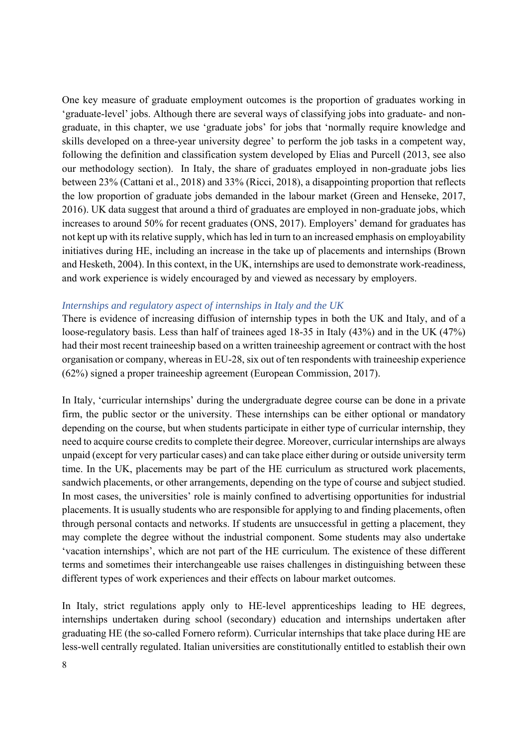One key measure of graduate employment outcomes is the proportion of graduates working in 'graduate-level' jobs. Although there are several ways of classifying jobs into graduate- and nongraduate, in this chapter, we use 'graduate jobs' for jobs that 'normally require knowledge and skills developed on a three-year university degree' to perform the job tasks in a competent way, following the definition and classification system developed by Elias and Purcell (2013, see also our methodology section). In Italy, the share of graduates employed in non-graduate jobs lies between 23% (Cattani et al., 2018) and 33% (Ricci, 2018), a disappointing proportion that reflects the low proportion of graduate jobs demanded in the labour market (Green and Henseke, 2017, 2016). UK data suggest that around a third of graduates are employed in non-graduate jobs, which increases to around 50% for recent graduates (ONS, 2017). Employers' demand for graduates has not kept up with its relative supply, which has led in turn to an increased emphasis on employability initiatives during HE, including an increase in the take up of placements and internships (Brown and Hesketh, 2004). In this context, in the UK, internships are used to demonstrate work-readiness, and work experience is widely encouraged by and viewed as necessary by employers.

## *Internships and regulatory aspect of internships in Italy and the UK*

There is evidence of increasing diffusion of internship types in both the UK and Italy, and of a loose-regulatory basis. Less than half of trainees aged 18-35 in Italy (43%) and in the UK (47%) had their most recent traineeship based on a written traineeship agreement or contract with the host organisation or company, whereas in EU-28, six out of ten respondents with traineeship experience (62%) signed a proper traineeship agreement (European Commission, 2017).

In Italy, 'curricular internships' during the undergraduate degree course can be done in a private firm, the public sector or the university. These internships can be either optional or mandatory depending on the course, but when students participate in either type of curricular internship, they need to acquire course credits to complete their degree. Moreover, curricular internships are always unpaid (except for very particular cases) and can take place either during or outside university term time. In the UK, placements may be part of the HE curriculum as structured work placements, sandwich placements, or other arrangements, depending on the type of course and subject studied. In most cases, the universities' role is mainly confined to advertising opportunities for industrial placements. It is usually students who are responsible for applying to and finding placements, often through personal contacts and networks. If students are unsuccessful in getting a placement, they may complete the degree without the industrial component. Some students may also undertake 'vacation internships', which are not part of the HE curriculum. The existence of these different terms and sometimes their interchangeable use raises challenges in distinguishing between these different types of work experiences and their effects on labour market outcomes.

In Italy, strict regulations apply only to HE-level apprenticeships leading to HE degrees, internships undertaken during school (secondary) education and internships undertaken after graduating HE (the so-called Fornero reform). Curricular internships that take place during HE are less-well centrally regulated. Italian universities are constitutionally entitled to establish their own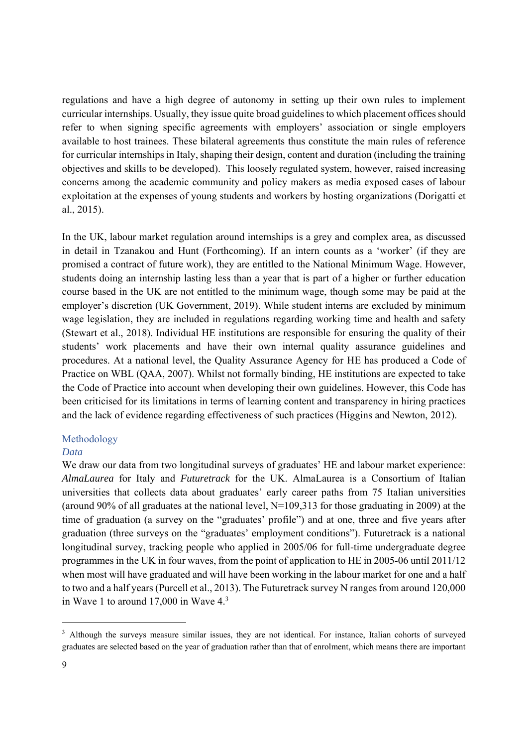regulations and have a high degree of autonomy in setting up their own rules to implement curricular internships. Usually, they issue quite broad guidelines to which placement offices should refer to when signing specific agreements with employers' association or single employers available to host trainees. These bilateral agreements thus constitute the main rules of reference for curricular internships in Italy, shaping their design, content and duration (including the training objectives and skills to be developed). This loosely regulated system, however, raised increasing concerns among the academic community and policy makers as media exposed cases of labour exploitation at the expenses of young students and workers by hosting organizations (Dorigatti et al., 2015).

In the UK, labour market regulation around internships is a grey and complex area, as discussed in detail in Tzanakou and Hunt (Forthcoming). If an intern counts as a 'worker' (if they are promised a contract of future work), they are entitled to the National Minimum Wage. However, students doing an internship lasting less than a year that is part of a higher or further education course based in the UK are not entitled to the minimum wage, though some may be paid at the employer's discretion (UK Government, 2019). While student interns are excluded by minimum wage legislation, they are included in regulations regarding working time and health and safety (Stewart et al., 2018). Individual HE institutions are responsible for ensuring the quality of their students' work placements and have their own internal quality assurance guidelines and procedures. At a national level, the Quality Assurance Agency for HE has produced a Code of Practice on WBL (QAA, 2007). Whilst not formally binding, HE institutions are expected to take the Code of Practice into account when developing their own guidelines. However, this Code has been criticised for its limitations in terms of learning content and transparency in hiring practices and the lack of evidence regarding effectiveness of such practices (Higgins and Newton, 2012).

## Methodology

## *Data*

We draw our data from two longitudinal surveys of graduates' HE and labour market experience: *AlmaLaurea* for Italy and *Futuretrack* for the UK. AlmaLaurea is a Consortium of Italian universities that collects data about graduates' early career paths from 75 Italian universities (around 90% of all graduates at the national level, N=109,313 for those graduating in 2009) at the time of graduation (a survey on the "graduates' profile") and at one, three and five years after graduation (three surveys on the "graduates' employment conditions"). Futuretrack is a national longitudinal survey, tracking people who applied in 2005/06 for full-time undergraduate degree programmes in the UK in four waves, from the point of application to HE in 2005-06 until 2011/12 when most will have graduated and will have been working in the labour market for one and a half to two and a half years (Purcell et al., 2013). The Futuretrack survey N ranges from around 120,000 in Wave 1 to around  $17,000$  in Wave  $4<sup>3</sup>$ 

-

<sup>&</sup>lt;sup>3</sup> Although the surveys measure similar issues, they are not identical. For instance, Italian cohorts of surveyed graduates are selected based on the year of graduation rather than that of enrolment, which means there are important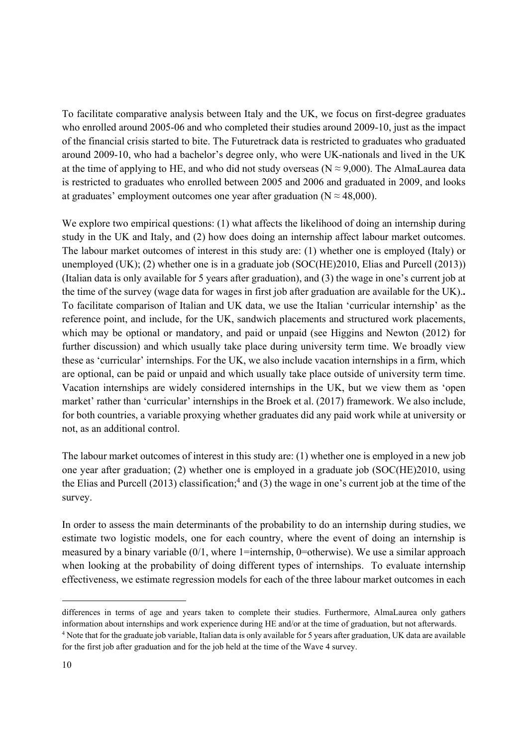To facilitate comparative analysis between Italy and the UK, we focus on first-degree graduates who enrolled around 2005-06 and who completed their studies around 2009-10, just as the impact of the financial crisis started to bite. The Futuretrack data is restricted to graduates who graduated around 2009-10, who had a bachelor's degree only, who were UK-nationals and lived in the UK at the time of applying to HE, and who did not study overseas ( $N \approx 9,000$ ). The AlmaLaurea data is restricted to graduates who enrolled between 2005 and 2006 and graduated in 2009, and looks at graduates' employment outcomes one year after graduation ( $N \approx 48,000$ ).

We explore two empirical questions: (1) what affects the likelihood of doing an internship during study in the UK and Italy, and (2) how does doing an internship affect labour market outcomes. The labour market outcomes of interest in this study are: (1) whether one is employed (Italy) or unemployed (UK); (2) whether one is in a graduate job (SOC(HE)2010, Elias and Purcell (2013)) (Italian data is only available for 5 years after graduation), and (3) the wage in one's current job at the time of the survey (wage data for wages in first job after graduation are available for the UK).**.** To facilitate comparison of Italian and UK data, we use the Italian 'curricular internship' as the reference point, and include, for the UK, sandwich placements and structured work placements, which may be optional or mandatory, and paid or unpaid (see Higgins and Newton (2012) for further discussion) and which usually take place during university term time. We broadly view these as 'curricular' internships. For the UK, we also include vacation internships in a firm, which are optional, can be paid or unpaid and which usually take place outside of university term time. Vacation internships are widely considered internships in the UK, but we view them as 'open market' rather than 'curricular' internships in the Broek et al. (2017) framework. We also include, for both countries, a variable proxying whether graduates did any paid work while at university or not, as an additional control.

The labour market outcomes of interest in this study are: (1) whether one is employed in a new job one year after graduation; (2) whether one is employed in a graduate job (SOC(HE)2010, using the Elias and Purcell  $(2013)$  classification;<sup>4</sup> and  $(3)$  the wage in one's current job at the time of the survey.

In order to assess the main determinants of the probability to do an internship during studies, we estimate two logistic models, one for each country, where the event of doing an internship is measured by a binary variable  $(0/1,$  where 1=internship, 0=otherwise). We use a similar approach when looking at the probability of doing different types of internships. To evaluate internship effectiveness, we estimate regression models for each of the three labour market outcomes in each

 $\overline{a}$ 

differences in terms of age and years taken to complete their studies. Furthermore, AlmaLaurea only gathers information about internships and work experience during HE and/or at the time of graduation, but not afterwards. <sup>4</sup> Note that for the graduate job variable, Italian data is only available for 5 years after graduation, UK data are available for the first job after graduation and for the job held at the time of the Wave 4 survey.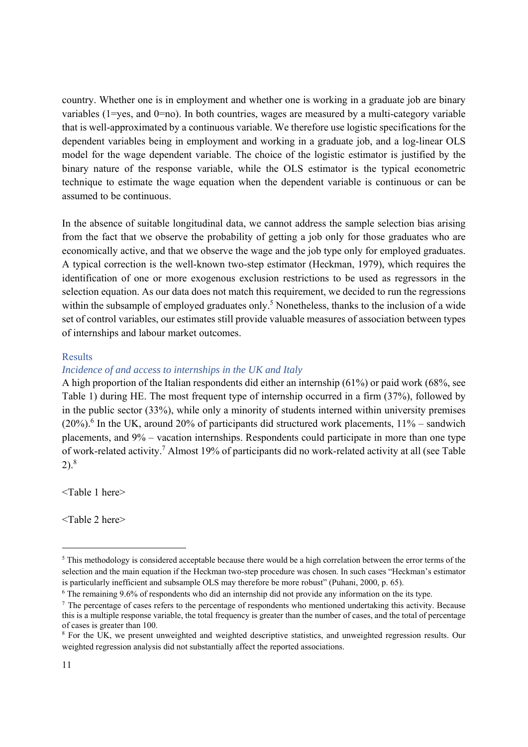country. Whether one is in employment and whether one is working in a graduate job are binary variables (1=yes, and 0=no). In both countries, wages are measured by a multi-category variable that is well-approximated by a continuous variable. We therefore use logistic specifications for the dependent variables being in employment and working in a graduate job, and a log-linear OLS model for the wage dependent variable. The choice of the logistic estimator is justified by the binary nature of the response variable, while the OLS estimator is the typical econometric technique to estimate the wage equation when the dependent variable is continuous or can be assumed to be continuous.

In the absence of suitable longitudinal data, we cannot address the sample selection bias arising from the fact that we observe the probability of getting a job only for those graduates who are economically active, and that we observe the wage and the job type only for employed graduates. A typical correction is the well-known two-step estimator (Heckman, 1979), which requires the identification of one or more exogenous exclusion restrictions to be used as regressors in the selection equation. As our data does not match this requirement, we decided to run the regressions within the subsample of employed graduates only.<sup>5</sup> Nonetheless, thanks to the inclusion of a wide set of control variables, our estimates still provide valuable measures of association between types of internships and labour market outcomes.

## Results

#### *Incidence of and access to internships in the UK and Italy*

A high proportion of the Italian respondents did either an internship (61%) or paid work (68%, see Table 1) during HE. The most frequent type of internship occurred in a firm (37%), followed by in the public sector (33%), while only a minority of students interned within university premises  $(20%)$ <sup>6</sup> In the UK, around 20% of participants did structured work placements,  $11%$  – sandwich placements, and 9% – vacation internships. Respondents could participate in more than one type of work-related activity.<sup>7</sup> Almost 19% of participants did no work-related activity at all (see Table  $2)$ .<sup>8</sup>

<Table 1 here>

<Table 2 here>

-

 $5$  This methodology is considered acceptable because there would be a high correlation between the error terms of the selection and the main equation if the Heckman two-step procedure was chosen. In such cases "Heckman's estimator is particularly inefficient and subsample OLS may therefore be more robust" (Puhani, 2000, p. 65).<br><sup>6</sup> The remaining 9.6% of respondents who did an internship did not provide any information on the its type.

 $\frac{7}{1}$  The percentage of cases refers to the percentage of respondents who mentioned undertaking this activity. Because this is a multiple response variable, the total frequency is greater than the number of cases, and the total of percentage of cases is greater than 100.

<sup>&</sup>lt;sup>8</sup> For the UK, we present unweighted and weighted descriptive statistics, and unweighted regression results. Our weighted regression analysis did not substantially affect the reported associations.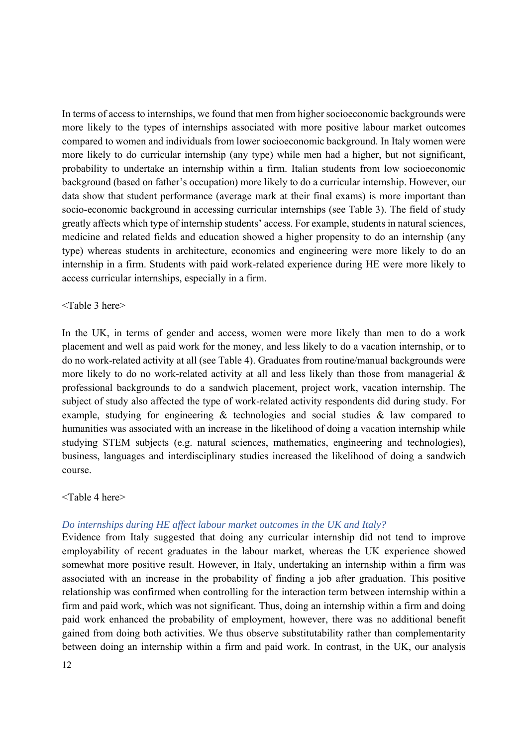In terms of access to internships, we found that men from higher socioeconomic backgrounds were more likely to the types of internships associated with more positive labour market outcomes compared to women and individuals from lower socioeconomic background. In Italy women were more likely to do curricular internship (any type) while men had a higher, but not significant, probability to undertake an internship within a firm. Italian students from low socioeconomic background (based on father's occupation) more likely to do a curricular internship. However, our data show that student performance (average mark at their final exams) is more important than socio-economic background in accessing curricular internships (see Table 3). The field of study greatly affects which type of internship students' access. For example, students in natural sciences, medicine and related fields and education showed a higher propensity to do an internship (any type) whereas students in architecture, economics and engineering were more likely to do an internship in a firm. Students with paid work-related experience during HE were more likely to access curricular internships, especially in a firm.

#### <Table 3 here>

In the UK, in terms of gender and access, women were more likely than men to do a work placement and well as paid work for the money, and less likely to do a vacation internship, or to do no work-related activity at all (see Table 4). Graduates from routine/manual backgrounds were more likely to do no work-related activity at all and less likely than those from managerial & professional backgrounds to do a sandwich placement, project work, vacation internship. The subject of study also affected the type of work-related activity respondents did during study. For example, studying for engineering & technologies and social studies & law compared to humanities was associated with an increase in the likelihood of doing a vacation internship while studying STEM subjects (e.g. natural sciences, mathematics, engineering and technologies), business, languages and interdisciplinary studies increased the likelihood of doing a sandwich course.

#### <Table 4 here>

#### *Do internships during HE affect labour market outcomes in the UK and Italy?*

Evidence from Italy suggested that doing any curricular internship did not tend to improve employability of recent graduates in the labour market, whereas the UK experience showed somewhat more positive result. However, in Italy, undertaking an internship within a firm was associated with an increase in the probability of finding a job after graduation. This positive relationship was confirmed when controlling for the interaction term between internship within a firm and paid work, which was not significant. Thus, doing an internship within a firm and doing paid work enhanced the probability of employment, however, there was no additional benefit gained from doing both activities. We thus observe substitutability rather than complementarity between doing an internship within a firm and paid work. In contrast, in the UK, our analysis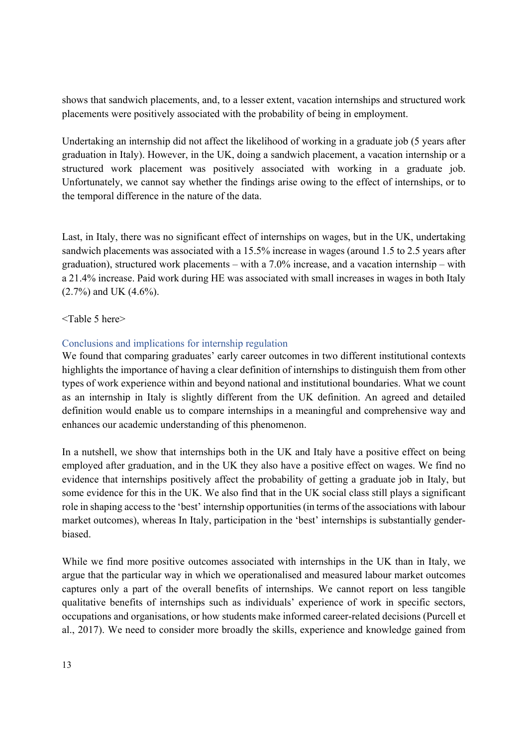shows that sandwich placements, and, to a lesser extent, vacation internships and structured work placements were positively associated with the probability of being in employment.

Undertaking an internship did not affect the likelihood of working in a graduate job (5 years after graduation in Italy). However, in the UK, doing a sandwich placement, a vacation internship or a structured work placement was positively associated with working in a graduate job. Unfortunately, we cannot say whether the findings arise owing to the effect of internships, or to the temporal difference in the nature of the data.

Last, in Italy, there was no significant effect of internships on wages, but in the UK, undertaking sandwich placements was associated with a 15.5% increase in wages (around 1.5 to 2.5 years after graduation), structured work placements – with a 7.0% increase, and a vacation internship – with a 21.4% increase. Paid work during HE was associated with small increases in wages in both Italy (2.7%) and UK (4.6%).

## <Table 5 here>

# Conclusions and implications for internship regulation

We found that comparing graduates' early career outcomes in two different institutional contexts highlights the importance of having a clear definition of internships to distinguish them from other types of work experience within and beyond national and institutional boundaries. What we count as an internship in Italy is slightly different from the UK definition. An agreed and detailed definition would enable us to compare internships in a meaningful and comprehensive way and enhances our academic understanding of this phenomenon.

In a nutshell, we show that internships both in the UK and Italy have a positive effect on being employed after graduation, and in the UK they also have a positive effect on wages. We find no evidence that internships positively affect the probability of getting a graduate job in Italy, but some evidence for this in the UK. We also find that in the UK social class still plays a significant role in shaping access to the 'best' internship opportunities (in terms of the associations with labour market outcomes), whereas In Italy, participation in the 'best' internships is substantially genderbiased.

While we find more positive outcomes associated with internships in the UK than in Italy, we argue that the particular way in which we operationalised and measured labour market outcomes captures only a part of the overall benefits of internships. We cannot report on less tangible qualitative benefits of internships such as individuals' experience of work in specific sectors, occupations and organisations, or how students make informed career-related decisions (Purcell et al., 2017). We need to consider more broadly the skills, experience and knowledge gained from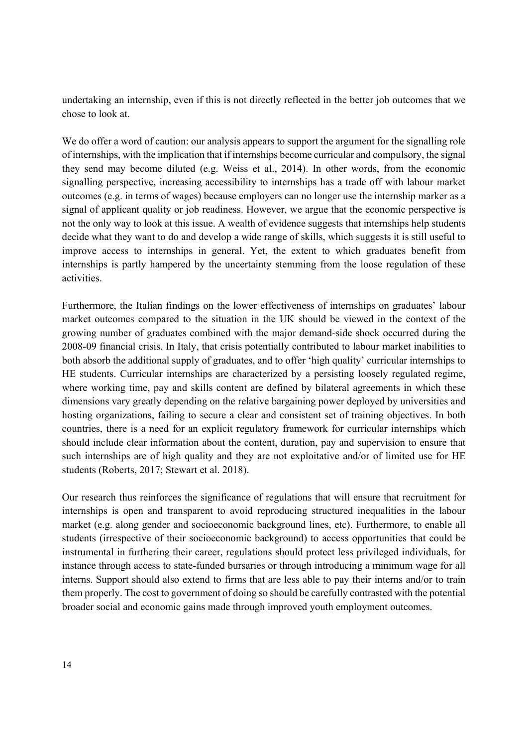undertaking an internship, even if this is not directly reflected in the better job outcomes that we chose to look at.

We do offer a word of caution: our analysis appears to support the argument for the signalling role of internships, with the implication that if internships become curricular and compulsory, the signal they send may become diluted (e.g. Weiss et al., 2014). In other words, from the economic signalling perspective, increasing accessibility to internships has a trade off with labour market outcomes (e.g. in terms of wages) because employers can no longer use the internship marker as a signal of applicant quality or job readiness. However, we argue that the economic perspective is not the only way to look at this issue. A wealth of evidence suggests that internships help students decide what they want to do and develop a wide range of skills, which suggests it is still useful to improve access to internships in general. Yet, the extent to which graduates benefit from internships is partly hampered by the uncertainty stemming from the loose regulation of these activities.

Furthermore, the Italian findings on the lower effectiveness of internships on graduates' labour market outcomes compared to the situation in the UK should be viewed in the context of the growing number of graduates combined with the major demand-side shock occurred during the 2008-09 financial crisis. In Italy, that crisis potentially contributed to labour market inabilities to both absorb the additional supply of graduates, and to offer 'high quality' curricular internships to HE students. Curricular internships are characterized by a persisting loosely regulated regime, where working time, pay and skills content are defined by bilateral agreements in which these dimensions vary greatly depending on the relative bargaining power deployed by universities and hosting organizations, failing to secure a clear and consistent set of training objectives. In both countries, there is a need for an explicit regulatory framework for curricular internships which should include clear information about the content, duration, pay and supervision to ensure that such internships are of high quality and they are not exploitative and/or of limited use for HE students (Roberts, 2017; Stewart et al. 2018).

Our research thus reinforces the significance of regulations that will ensure that recruitment for internships is open and transparent to avoid reproducing structured inequalities in the labour market (e.g. along gender and socioeconomic background lines, etc). Furthermore, to enable all students (irrespective of their socioeconomic background) to access opportunities that could be instrumental in furthering their career, regulations should protect less privileged individuals, for instance through access to state-funded bursaries or through introducing a minimum wage for all interns. Support should also extend to firms that are less able to pay their interns and/or to train them properly. The cost to government of doing so should be carefully contrasted with the potential broader social and economic gains made through improved youth employment outcomes.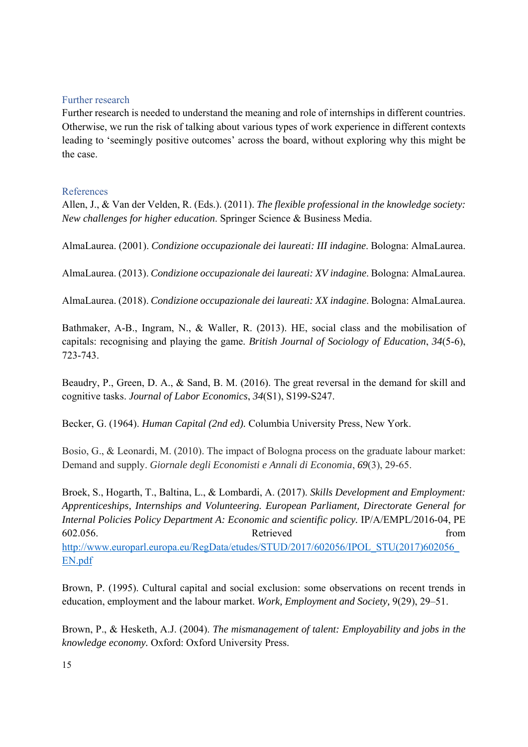## Further research

Further research is needed to understand the meaning and role of internships in different countries. Otherwise, we run the risk of talking about various types of work experience in different contexts leading to 'seemingly positive outcomes' across the board, without exploring why this might be the case.

## References

Allen, J., & Van der Velden, R. (Eds.). (2011). *The flexible professional in the knowledge society: New challenges for higher education*. Springer Science & Business Media.

AlmaLaurea. (2001). *Condizione occupazionale dei laureati: III indagine*. Bologna: AlmaLaurea.

AlmaLaurea. (2013). *Condizione occupazionale dei laureati: XV indagine*. Bologna: AlmaLaurea.

AlmaLaurea. (2018). *Condizione occupazionale dei laureati: XX indagine*. Bologna: AlmaLaurea.

Bathmaker, A-B., Ingram, N., & Waller, R. (2013). HE, social class and the mobilisation of capitals: recognising and playing the game. *British Journal of Sociology of Education*, *34*(5-6), 723-743.

Beaudry, P., Green, D. A., & Sand, B. M. (2016). The great reversal in the demand for skill and cognitive tasks. *Journal of Labor Economics*, *34*(S1), S199-S247.

Becker, G. (1964). *Human Capital (2nd ed).* Columbia University Press, New York.

Bosio, G., & Leonardi, M. (2010). The impact of Bologna process on the graduate labour market: Demand and supply. *Giornale degli Economisti e Annali di Economia*, *69*(3), 29-65.

Broek, S., Hogarth, T., Baltina, L., & Lombardi, A. (2017). *Skills Development and Employment: Apprenticeships, Internships and Volunteering. European Parliament, Directorate General for Internal Policies Policy Department A: Economic and scientific policy.* IP/A/EMPL/2016-04, PE 602.056. Retrieved from http://www.europarl.europa.eu/RegData/etudes/STUD/2017/602056/IPOL\_STU(2017)602056\_ EN.pdf

Brown, P. (1995). Cultural capital and social exclusion: some observations on recent trends in education, employment and the labour market. *Work, Employment and Society,* 9(29), 29–51.

Brown, P., & Hesketh, A.J. (2004). *The mismanagement of talent: Employability and jobs in the knowledge economy.* Oxford: Oxford University Press.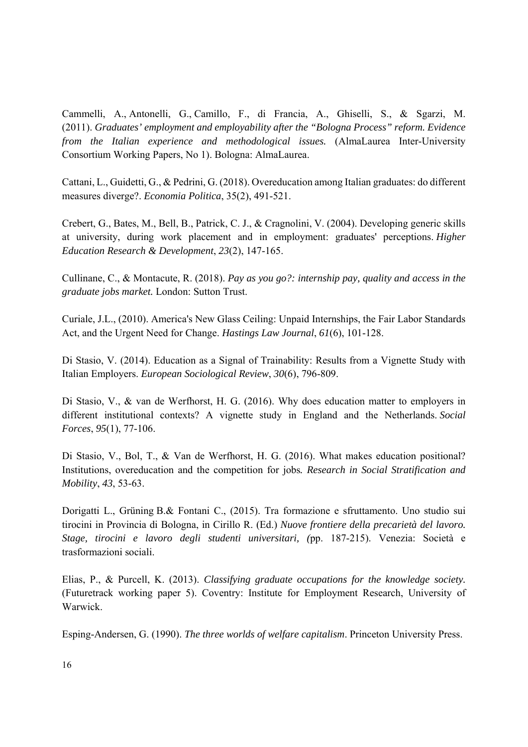Cammelli, A., Antonelli, G., Camillo, F., di Francia, A., Ghiselli, S., & Sgarzi, M. (2011). *Graduates' employment and employability after the "Bologna Process" reform. Evidence from the Italian experience and methodological issues.* (AlmaLaurea Inter-University Consortium Working Papers, No 1). Bologna: AlmaLaurea.

Cattani, L., Guidetti, G., & Pedrini, G. (2018). Overeducation among Italian graduates: do different measures diverge?. *Economia Politica*, 35(2), 491-521.

Crebert, G., Bates, M., Bell, B., Patrick, C. J., & Cragnolini, V. (2004). Developing generic skills at university, during work placement and in employment: graduates' perceptions. *Higher Education Research & Development*, *23*(2), 147-165.

Cullinane, C., & Montacute, R. (2018). *Pay as you go?: internship pay, quality and access in the graduate jobs market.* London: Sutton Trust.

Curiale, J.L., (2010). America's New Glass Ceiling: Unpaid Internships, the Fair Labor Standards Act, and the Urgent Need for Change. *Hastings Law Journal*, *61*(6), 101-128.

Di Stasio, V. (2014). Education as a Signal of Trainability: Results from a Vignette Study with Italian Employers. *European Sociological Review*, *30*(6), 796-809.

Di Stasio, V., & van de Werfhorst, H. G. (2016). Why does education matter to employers in different institutional contexts? A vignette study in England and the Netherlands. *Social Forces*, *95*(1), 77-106.

Di Stasio, V., Bol, T., & Van de Werfhorst, H. G. (2016). What makes education positional? Institutions, overeducation and the competition for jobs*. Research in Social Stratification and Mobility*, *43*, 53-63.

Dorigatti L., Grüning B.& Fontani C., (2015). Tra formazione e sfruttamento. Uno studio sui tirocini in Provincia di Bologna, in Cirillo R. (Ed.) *Nuove frontiere della precarietà del lavoro. Stage, tirocini e lavoro degli studenti universitari, (*pp. 187-215). Venezia: Società e trasformazioni sociali.

Elias, P., & Purcell, K. (2013). *Classifying graduate occupations for the knowledge society.* (Futuretrack working paper 5). Coventry: Institute for Employment Research, University of Warwick.

Esping-Andersen, G. (1990). *The three worlds of welfare capitalism*. Princeton University Press.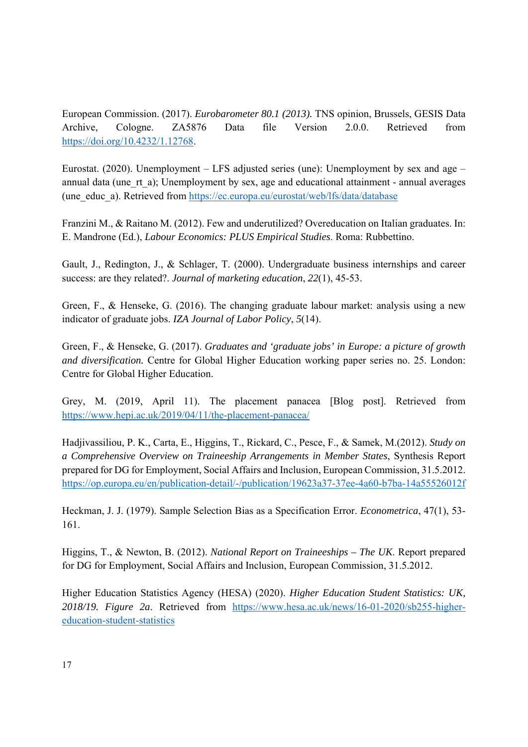European Commission. (2017). *Eurobarometer 80.1 (2013).* TNS opinion, Brussels, GESIS Data Archive, Cologne. ZA5876 Data file Version 2.0.0. Retrieved from https://doi.org/10.4232/1.12768.

Eurostat. (2020). Unemployment – LFS adjusted series (une): Unemployment by sex and age – annual data (une rt a); Unemployment by sex, age and educational attainment - annual averages (une\_educ\_a). Retrieved from https://ec.europa.eu/eurostat/web/lfs/data/database

Franzini M., & Raitano M. (2012). Few and underutilized? Overeducation on Italian graduates. In: E. Mandrone (Ed.), *Labour Economics: PLUS Empirical Studies*. Roma: Rubbettino.

Gault, J., Redington, J., & Schlager, T. (2000). Undergraduate business internships and career success: are they related?. *Journal of marketing education*, *22*(1), 45-53.

Green, F., & Henseke, G. (2016). The changing graduate labour market: analysis using a new indicator of graduate jobs. *IZA Journal of Labor Policy*, *5*(14).

Green, F., & Henseke, G. (2017). *Graduates and 'graduate jobs' in Europe: a picture of growth and diversification.* Centre for Global Higher Education working paper series no. 25. London: Centre for Global Higher Education.

Grey, M. (2019, April 11). The placement panacea [Blog post]. Retrieved from https://www.hepi.ac.uk/2019/04/11/the-placement-panacea/

Hadjivassiliou, P. K., Carta, E., Higgins, T., Rickard, C., Pesce, F., & Samek, M.(2012). *Study on a Comprehensive Overview on Traineeship Arrangements in Member States*, Synthesis Report prepared for DG for Employment, Social Affairs and Inclusion, European Commission, 31.5.2012. https://op.europa.eu/en/publication-detail/-/publication/19623a37-37ee-4a60-b7ba-14a55526012f

Heckman, J. J. (1979). Sample Selection Bias as a Specification Error. *Econometrica*, 47(1), 53- 161.

Higgins, T., & Newton, B. (2012). *National Report on Traineeships – The UK*. Report prepared for DG for Employment, Social Affairs and Inclusion, European Commission, 31.5.2012.

Higher Education Statistics Agency (HESA) (2020). *Higher Education Student Statistics: UK, 2018/19. Figure 2a*. Retrieved from https://www.hesa.ac.uk/news/16-01-2020/sb255-highereducation-student-statistics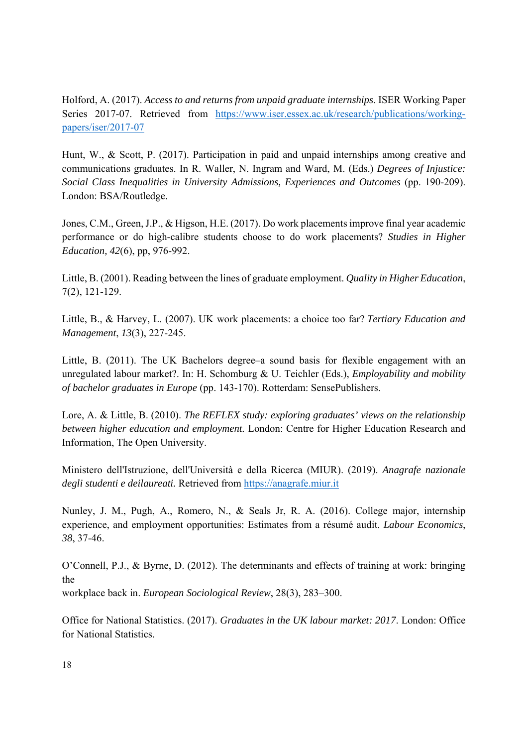Holford, A. (2017). *Access to and returns from unpaid graduate internships*. ISER Working Paper Series 2017-07. Retrieved from https://www.iser.essex.ac.uk/research/publications/workingpapers/iser/2017-07

Hunt, W., & Scott, P. (2017). Participation in paid and unpaid internships among creative and communications graduates. In R. Waller, N. Ingram and Ward, M. (Eds.) *Degrees of Injustice: Social Class Inequalities in University Admissions, Experiences and Outcomes* (pp. 190-209). London: BSA/Routledge.

Jones, C.M., Green, J.P., & Higson, H.E. (2017). Do work placements improve final year academic performance or do high-calibre students choose to do work placements? *Studies in Higher Education, 42*(6), pp, 976-992.

Little, B. (2001). Reading between the lines of graduate employment. *Quality in Higher Education*, 7(2), 121-129.

Little, B., & Harvey, L. (2007). UK work placements: a choice too far? *Tertiary Education and Management*, *13*(3), 227-245.

Little, B. (2011). The UK Bachelors degree–a sound basis for flexible engagement with an unregulated labour market?. In: H. Schomburg & U. Teichler (Eds.), *Employability and mobility of bachelor graduates in Europe* (pp. 143-170). Rotterdam: SensePublishers.

Lore, A. & Little, B. (2010). *The REFLEX study: exploring graduates' views on the relationship between higher education and employment.* London: Centre for Higher Education Research and Information, The Open University.

Ministero dell'Istruzione, dell'Università e della Ricerca (MIUR). (2019). *Anagrafe nazionale degli studenti e deilaureati.* Retrieved from https://anagrafe.miur.it

Nunley, J. M., Pugh, A., Romero, N., & Seals Jr, R. A. (2016). College major, internship experience, and employment opportunities: Estimates from a résumé audit. *Labour Economics*, *38*, 37-46.

O'Connell, P.J., & Byrne, D. (2012). The determinants and effects of training at work: bringing the

workplace back in. *European Sociological Review*, 28(3), 283–300.

Office for National Statistics. (2017). *Graduates in the UK labour market: 2017*. London: Office for National Statistics.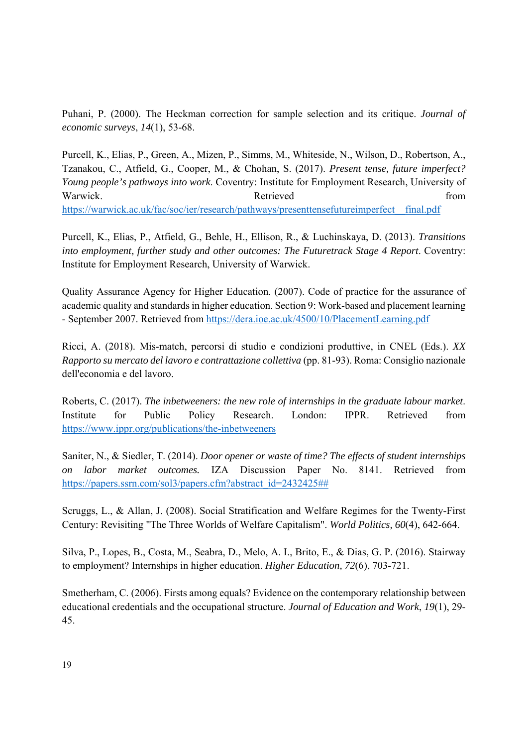Puhani, P. (2000). The Heckman correction for sample selection and its critique. *Journal of economic surveys*, *14*(1), 53-68.

Purcell, K., Elias, P., Green, A., Mizen, P., Simms, M., Whiteside, N., Wilson, D., Robertson, A., Tzanakou, C., Atfield, G., Cooper, M., & Chohan, S. (2017). *Present tense, future imperfect? Young people's pathways into work*. Coventry: Institute for Employment Research, University of Warwick. The Retrieved control of the Retrieved from the Retrieved from the set of the Retrieved from the Second Second Second Second Second Second Second Second Second Second Second Second Second Second Second Second Seco https://warwick.ac.uk/fac/soc/ier/research/pathways/presenttensefutureimperfect\_\_final.pdf

Purcell, K., Elias, P., Atfield, G., Behle, H., Ellison, R., & Luchinskaya, D. (2013). *Transitions into employment, further study and other outcomes: The Futuretrack Stage 4 Report*. Coventry: Institute for Employment Research, University of Warwick.

Quality Assurance Agency for Higher Education. (2007). Code of practice for the assurance of academic quality and standards in higher education. Section 9: Work-based and placement learning - September 2007. Retrieved from https://dera.ioe.ac.uk/4500/10/PlacementLearning.pdf

Ricci, A. (2018). Mis-match, percorsi di studio e condizioni produttive, in CNEL (Eds.). *XX Rapporto su mercato del lavoro e contrattazione collettiva* (pp. 81-93). Roma: Consiglio nazionale dell'economia e del lavoro.

Roberts, C. (2017). *The inbetweeners: the new role of internships in the graduate labour market*. Institute for Public Policy Research. London: IPPR. Retrieved from https://www.ippr.org/publications/the-inbetweeners

Saniter, N., & Siedler, T. (2014). *Door opener or waste of time? The effects of student internships on labor market outcomes.* IZA Discussion Paper No. 8141. Retrieved from https://papers.ssrn.com/sol3/papers.cfm?abstract\_id=2432425##

Scruggs, L., & Allan, J. (2008). Social Stratification and Welfare Regimes for the Twenty-First Century: Revisiting "The Three Worlds of Welfare Capitalism". *World Politics, 60*(4), 642-664.

Silva, P., Lopes, B., Costa, M., Seabra, D., Melo, A. I., Brito, E., & Dias, G. P. (2016). Stairway to employment? Internships in higher education. *Higher Education, 72*(6), 703-721.

Smetherham, C. (2006). Firsts among equals? Evidence on the contemporary relationship between educational credentials and the occupational structure. *Journal of Education and Work*, *19*(1), 29- 45.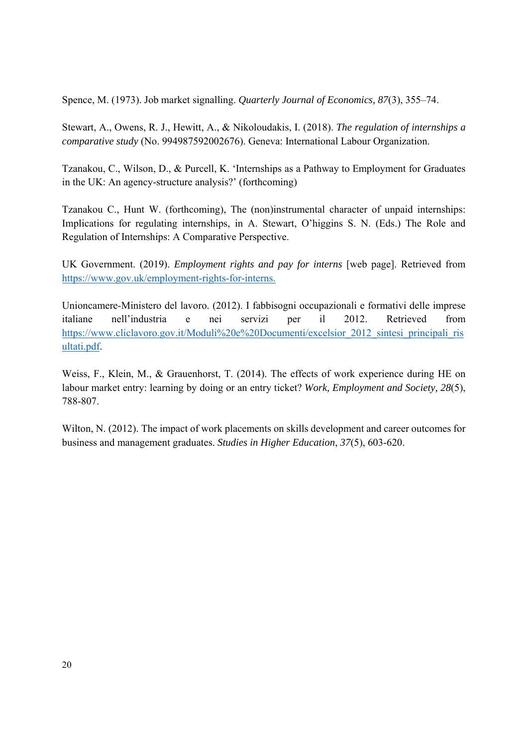Spence, M. (1973). Job market signalling. *Quarterly Journal of Economics, 87*(3), 355–74.

Stewart, A., Owens, R. J., Hewitt, A., & Nikoloudakis, I. (2018). *The regulation of internships a comparative study* (No. 994987592002676). Geneva: International Labour Organization.

Tzanakou, C., Wilson, D., & Purcell, K. 'Internships as a Pathway to Employment for Graduates in the UK: An agency-structure analysis?' (forthcoming)

Tzanakou C., Hunt W. (forthcoming), The (non)instrumental character of unpaid internships: Implications for regulating internships, in A. Stewart, O'higgins S. N. (Eds.) The Role and Regulation of Internships: A Comparative Perspective.

UK Government. (2019). *Employment rights and pay for interns* [web page]. Retrieved from https://www.gov.uk/employment-rights-for-interns.

Unioncamere-Ministero del lavoro. (2012). I fabbisogni occupazionali e formativi delle imprese italiane nell'industria e nei servizi per il 2012. Retrieved from https://www.cliclavoro.gov.it/Moduli%20e%20Documenti/excelsior\_2012\_sintesi\_principali\_ris ultati.pdf.

Weiss, F., Klein, M., & Grauenhorst, T. (2014). The effects of work experience during HE on labour market entry: learning by doing or an entry ticket? *Work, Employment and Society, 28*(5), 788-807.

Wilton, N. (2012). The impact of work placements on skills development and career outcomes for business and management graduates. *Studies in Higher Education*, *37*(5), 603-620.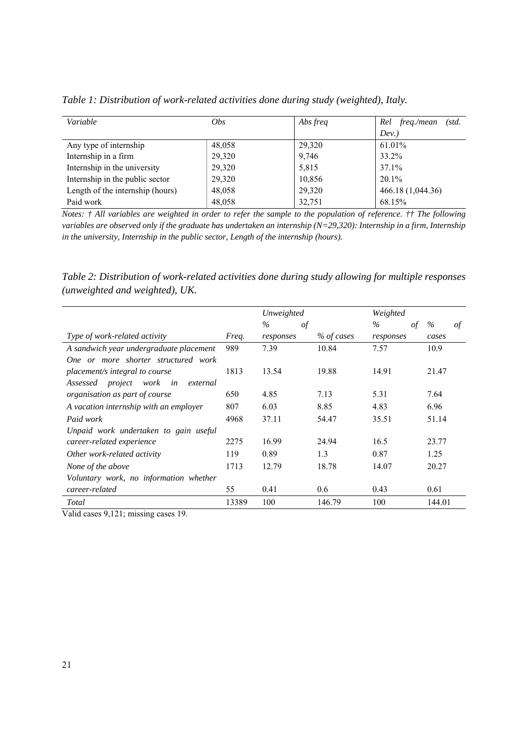| Variable                         | <i>Obs</i> | Abs freq | freq./mean<br>Rel<br>(std. |
|----------------------------------|------------|----------|----------------------------|
|                                  |            |          | Dev.                       |
| Any type of internship           | 48,058     | 29,320   | 61.01%                     |
| Internship in a firm             | 29,320     | 9,746    | 33.2%                      |
| Internship in the university     | 29,320     | 5,815    | 37.1%                      |
| Internship in the public sector  | 29,320     | 10,856   | 20.1%                      |
| Length of the internship (hours) | 48,058     | 29,320   | 466.18 (1,044.36)          |
| Paid work                        | 48,058     | 32,751   | 68.15%                     |

*Table 1: Distribution of work-related activities done during study (weighted), Italy.* 

*Notes: † All variables are weighted in order to refer the sample to the population of reference. †† The following variables are observed only if the graduate has undertaken an internship (N=29,320): Internship in a firm, Internship in the university, Internship in the public sector, Length of the internship (hours).* 

*Table 2: Distribution of work-related activities done during study allowing for multiple responses (unweighted and weighted), UK.* 

|                                         |       | Unweighted |            | Weighted          |         |
|-----------------------------------------|-------|------------|------------|-------------------|---------|
|                                         |       | $\%$<br>of |            | $\%$<br>$\circ f$ | %<br>οf |
| <i>Type of work-related activity</i>    | Freq. | responses  | % of cases | responses         | cases   |
| A sandwich year undergraduate placement | 989   | 7.39       | 10.84      | 7.57              | 10.9    |
| One or more shorter structured work     |       |            |            |                   |         |
| placement/s integral to course          | 1813  | 13.54      | 19.88      | 14.91             | 21.47   |
| Assessed project work in<br>external    |       |            |            |                   |         |
| organisation as part of course          | 650   | 4.85       | 7.13       | 5.31              | 7.64    |
| A vacation internship with an employer  | 807   | 6.03       | 8.85       | 4.83              | 6.96    |
| Paid work                               | 4968  | 37.11      | 54.47      | 35.51             | 51.14   |
| Unpaid work undertaken to gain useful   |       |            |            |                   |         |
| career-related experience               | 2275  | 16.99      | 24.94      | 16.5              | 23.77   |
| Other work-related activity             | 119   | 0.89       | 1.3        | 0.87              | 1.25    |
| None of the above                       | 1713  | 12.79      | 18.78      | 14.07             | 20.27   |
| Voluntary work, no information whether  |       |            |            |                   |         |
| career-related                          | 55    | 0.41       | 0.6        | 0.43              | 0.61    |
| Total                                   | 13389 | 100        | 146.79     | 100               | 144.01  |

Valid cases 9,121; missing cases 19.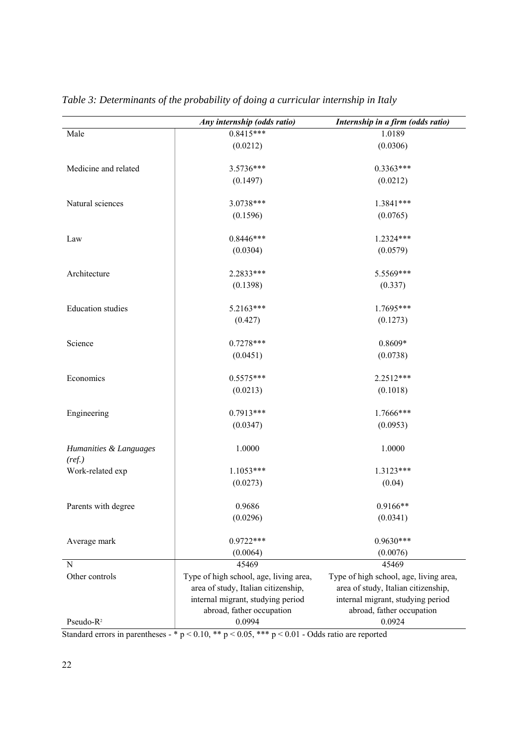| 1.0189<br>Male<br>(0.0212)<br>(0.0306)<br>$0.3363***$<br>Medicine and related<br>3.5736***<br>(0.1497)<br>(0.0212)<br>3.0738***<br>1.3841***<br>Natural sciences<br>(0.1596)<br>(0.0765)<br>$0.8446***$<br>1.2324***<br>Law<br>(0.0304)<br>(0.0579)<br>2.2833***<br>5.5569***<br>Architecture<br>(0.1398)<br>(0.337)<br>5.2163***<br>1.7695***<br><b>Education</b> studies<br>(0.427)<br>(0.1273) | Any internship (odds ratio) | Internship in a firm (odds ratio) |
|---------------------------------------------------------------------------------------------------------------------------------------------------------------------------------------------------------------------------------------------------------------------------------------------------------------------------------------------------------------------------------------------------|-----------------------------|-----------------------------------|
|                                                                                                                                                                                                                                                                                                                                                                                                   | $0.8415***$                 |                                   |
|                                                                                                                                                                                                                                                                                                                                                                                                   |                             |                                   |
|                                                                                                                                                                                                                                                                                                                                                                                                   |                             |                                   |
|                                                                                                                                                                                                                                                                                                                                                                                                   |                             |                                   |
|                                                                                                                                                                                                                                                                                                                                                                                                   |                             |                                   |
|                                                                                                                                                                                                                                                                                                                                                                                                   |                             |                                   |
|                                                                                                                                                                                                                                                                                                                                                                                                   |                             |                                   |
|                                                                                                                                                                                                                                                                                                                                                                                                   |                             |                                   |
|                                                                                                                                                                                                                                                                                                                                                                                                   |                             |                                   |
|                                                                                                                                                                                                                                                                                                                                                                                                   |                             |                                   |
|                                                                                                                                                                                                                                                                                                                                                                                                   |                             |                                   |
|                                                                                                                                                                                                                                                                                                                                                                                                   |                             |                                   |
|                                                                                                                                                                                                                                                                                                                                                                                                   |                             |                                   |
|                                                                                                                                                                                                                                                                                                                                                                                                   |                             |                                   |
|                                                                                                                                                                                                                                                                                                                                                                                                   |                             |                                   |
| $0.7278***$<br>$0.8609*$<br>Science                                                                                                                                                                                                                                                                                                                                                               |                             |                                   |
| (0.0451)<br>(0.0738)                                                                                                                                                                                                                                                                                                                                                                              |                             |                                   |
|                                                                                                                                                                                                                                                                                                                                                                                                   |                             |                                   |
| $0.5575***$<br>2.2512***<br>Economics                                                                                                                                                                                                                                                                                                                                                             |                             |                                   |
| (0.0213)<br>(0.1018)                                                                                                                                                                                                                                                                                                                                                                              |                             |                                   |
| $0.7913***$<br>1.7666***<br>Engineering                                                                                                                                                                                                                                                                                                                                                           |                             |                                   |
| (0.0347)<br>(0.0953)                                                                                                                                                                                                                                                                                                                                                                              |                             |                                   |
|                                                                                                                                                                                                                                                                                                                                                                                                   |                             |                                   |
| 1.0000<br>1.0000<br>Humanities & Languages                                                                                                                                                                                                                                                                                                                                                        |                             |                                   |
| (ref.)                                                                                                                                                                                                                                                                                                                                                                                            |                             |                                   |
| $1.1053***$<br>1.3123***<br>Work-related exp                                                                                                                                                                                                                                                                                                                                                      |                             |                                   |
| (0.0273)<br>(0.04)                                                                                                                                                                                                                                                                                                                                                                                |                             |                                   |
| 0.9686<br>$0.9166**$<br>Parents with degree                                                                                                                                                                                                                                                                                                                                                       |                             |                                   |
| (0.0296)<br>(0.0341)                                                                                                                                                                                                                                                                                                                                                                              |                             |                                   |
|                                                                                                                                                                                                                                                                                                                                                                                                   |                             |                                   |
| $0.9722***$<br>$0.9630***$<br>Average mark                                                                                                                                                                                                                                                                                                                                                        |                             |                                   |
| (0.0076)<br>(0.0064)                                                                                                                                                                                                                                                                                                                                                                              |                             |                                   |
| 45469<br>45469<br>N                                                                                                                                                                                                                                                                                                                                                                               |                             |                                   |
| Other controls<br>Type of high school, age, living area,<br>Type of high school, age, living area,                                                                                                                                                                                                                                                                                                |                             |                                   |
| area of study, Italian citizenship,<br>area of study, Italian citizenship,                                                                                                                                                                                                                                                                                                                        |                             |                                   |
| internal migrant, studying period<br>internal migrant, studying period                                                                                                                                                                                                                                                                                                                            |                             |                                   |
| abroad, father occupation<br>abroad, father occupation                                                                                                                                                                                                                                                                                                                                            |                             |                                   |
| Pseudo-R <sup>2</sup><br>0.0994<br>0.0924<br>Standard errors in parentheses $2 * n < 0.10 * n < 0.05 * n < 0.01$ and $20d\sigma$ ratio are reported                                                                                                                                                                                                                                               |                             |                                   |

*Table 3: Determinants of the probability of doing a curricular internship in Italy*

Standard errors in parentheses - \* p < 0.10, \*\* p < 0.05, \*\*\* p < 0.01 - Odds ratio are reported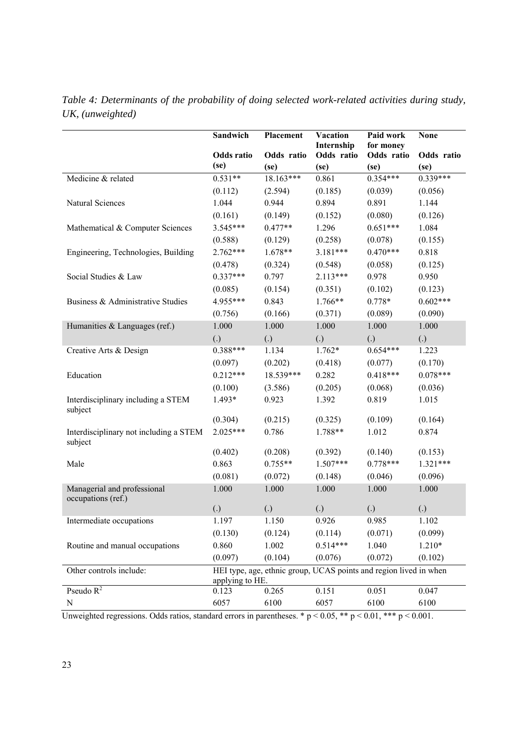|                                                   | Sandwich                                                                             | <b>Placement</b><br><b>Vacation</b> |                                  | Paid work                       | <b>None</b>        |  |
|---------------------------------------------------|--------------------------------------------------------------------------------------|-------------------------------------|----------------------------------|---------------------------------|--------------------|--|
|                                                   | Odds ratio<br>(se)                                                                   | Odds ratio<br>(se)                  | Internship<br>Odds ratio<br>(se) | for money<br>Odds ratio<br>(se) | Odds ratio<br>(se) |  |
| Medicine & related                                | $0.531**$                                                                            | $18.163***$                         | 0.861                            | $0.354***$                      | $0.339***$         |  |
|                                                   | (0.112)                                                                              | (2.594)                             | (0.185)                          | (0.039)                         | (0.056)            |  |
| Natural Sciences                                  | 1.044                                                                                | 0.944                               | 0.894                            | 0.891                           | 1.144              |  |
|                                                   | (0.161)                                                                              | (0.149)                             | (0.152)                          | (0.080)                         | (0.126)            |  |
| Mathematical & Computer Sciences                  | $3.545***$                                                                           | $0.477**$                           | 1.296                            | $0.651***$                      | 1.084              |  |
|                                                   | (0.588)                                                                              | (0.129)                             | (0.258)                          | (0.078)                         | (0.155)            |  |
| Engineering, Technologies, Building               | $2.762***$                                                                           | $1.678**$                           | 3.181***                         | $0.470***$                      | 0.818              |  |
|                                                   | (0.478)                                                                              | (0.324)                             | (0.548)                          | (0.058)                         | (0.125)            |  |
| Social Studies & Law                              | $0.337***$                                                                           | 0.797                               | $2.113***$                       | 0.978                           | 0.950              |  |
|                                                   | (0.085)                                                                              | (0.154)                             | (0.351)                          | (0.102)                         | (0.123)            |  |
| Business & Administrative Studies                 | 4.955***                                                                             | 0.843                               | $1.766**$                        | $0.778*$                        | $0.602***$         |  |
|                                                   | (0.756)                                                                              | (0.166)                             | (0.371)                          | (0.089)                         | (0.090)            |  |
| Humanities & Languages (ref.)                     | 1.000                                                                                | 1.000                               | 1.000                            | 1.000                           | 1.000              |  |
|                                                   | $\left( .\right)$                                                                    | $\left( .\right)$                   | $\left( .\right)$                | $\left( .\right)$               | $\left( .\right)$  |  |
| Creative Arts & Design                            | $0.388***$                                                                           | 1.134                               | $1.762*$                         | $0.654***$                      | 1.223              |  |
|                                                   | (0.097)                                                                              | (0.202)                             | (0.418)                          | (0.077)                         | (0.170)            |  |
| Education                                         | $0.212***$                                                                           | 18.539***                           | 0.282                            | $0.418***$                      | $0.078***$         |  |
|                                                   | (0.100)                                                                              | (3.586)                             | (0.205)                          | (0.068)                         | (0.036)            |  |
| Interdisciplinary including a STEM<br>subject     | 1.493*                                                                               | 0.923                               | 1.392                            | 0.819                           | 1.015              |  |
|                                                   | (0.304)                                                                              | (0.215)                             | (0.325)                          | (0.109)                         | (0.164)            |  |
| Interdisciplinary not including a STEM<br>subject | $2.025***$                                                                           | 0.786                               | 1.788**                          | 1.012                           | 0.874              |  |
|                                                   | (0.402)                                                                              | (0.208)                             | (0.392)                          | (0.140)                         | (0.153)            |  |
| Male                                              | 0.863                                                                                | $0.755**$                           | $1.507***$                       | $0.778***$                      | $1.321***$         |  |
|                                                   | (0.081)                                                                              | (0.072)                             | (0.148)                          | (0.046)                         | (0.096)            |  |
| Managerial and professional<br>occupations (ref.) | 1.000                                                                                | 1.000                               | 1.000                            | 1.000                           | 1.000              |  |
|                                                   | $\left( .\right)$                                                                    | (.)                                 | $\left( .\right)$                | (.)                             | $\left( .\right)$  |  |
| Intermediate occupations                          | 1.197                                                                                | 1.150                               | 0.926                            | 0.985                           | 1.102              |  |
|                                                   | (0.130)                                                                              | (0.124)                             | (0.114)                          | (0.071)                         | (0.099)            |  |
| Routine and manual occupations                    | 0.860                                                                                | 1.002                               | $0.514***$                       | 1.040                           | $1.210*$           |  |
|                                                   | (0.097)                                                                              | (0.104)                             | (0.076)                          | (0.072)                         | (0.102)            |  |
| Other controls include:                           | HEI type, age, ethnic group, UCAS points and region lived in when<br>applying to HE. |                                     |                                  |                                 |                    |  |
| Pseudo $R^2$                                      | 0.123                                                                                | 0.265                               | 0.151                            | 0.051                           | 0.047              |  |
| $\mathbf N$                                       | 6057                                                                                 | 6100                                | 6057                             | 6100                            | 6100               |  |

*Table 4: Determinants of the probability of doing selected work-related activities during study, UK, (unweighted)* 

Unweighted regressions. Odds ratios, standard errors in parentheses. \*  $p < 0.05$ , \*\*  $p < 0.01$ , \*\*\*  $p < 0.001$ .